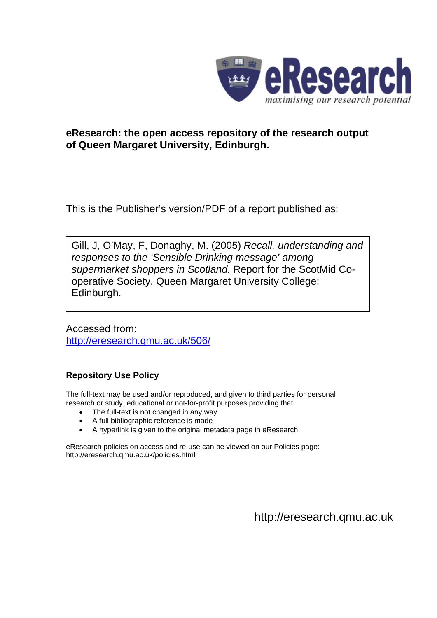

## **eResearch: the open access repository of the research output of Queen Margaret University, Edinburgh.**

This is the Publisher's version/PDF of a report published as:

Gill, J, O'May, F, Donaghy, M. (2005) *Recall, understanding and responses to the 'Sensible Drinking message' among supermarket shoppers in Scotland.* Report for the ScotMid Cooperative Society. Queen Margaret University College: Edinburgh.

Accessed from: <http://eresearch.qmu.ac.uk/506/>

## **Repository Use Policy**

The full-text may be used and/or reproduced, and given to third parties for personal research or study, educational or not-for-profit purposes providing that:

- The full-text is not changed in any way
- A full bibliographic reference is made
- A hyperlink is given to the original metadata page in eResearch

eResearch policies on access and re-use can be viewed on our Policies page: <http://eresearch.qmu.ac.uk/policies.html>

[http://eresearch.qmu.ac.uk](http://eresearch.qmu.ac.uk/)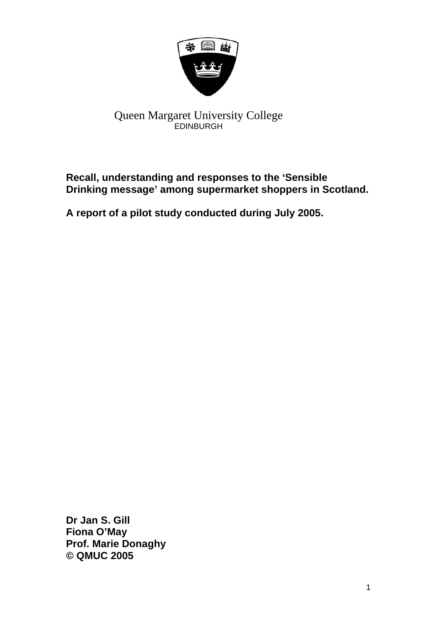

# Queen Margaret University College EDINBURGH

# **Recall, understanding and responses to the 'Sensible Drinking message' among supermarket shoppers in Scotland.**

**A report of a pilot study conducted during July 2005.** 

**Dr Jan S. Gill Fiona O'May Prof. Marie Donaghy © QMUC 2005**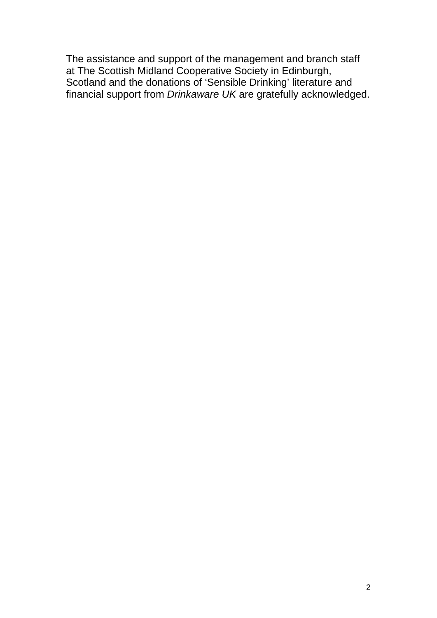The assistance and support of the management and branch staff at The Scottish Midland Cooperative Society in Edinburgh, Scotland and the donations of 'Sensible Drinking' literature and financial support from *Drinkaware UK* are gratefully acknowledged.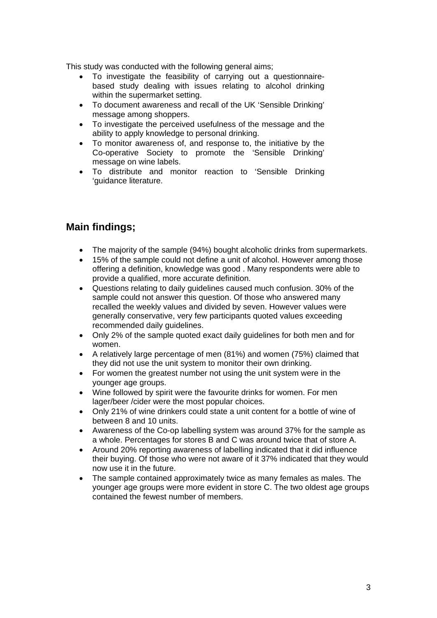This study was conducted with the following general aims;

- To investigate the feasibility of carrying out a questionnairebased study dealing with issues relating to alcohol drinking within the supermarket setting.
- To document awareness and recall of the UK 'Sensible Drinking' message among shoppers.
- To investigate the perceived usefulness of the message and the ability to apply knowledge to personal drinking.
- To monitor awareness of, and response to, the initiative by the Co-operative Society to promote the 'Sensible Drinking' message on wine labels.
- To distribute and monitor reaction to 'Sensible Drinking 'guidance literature.

# **Main findings;**

- The majority of the sample (94%) bought alcoholic drinks from supermarkets.
- 15% of the sample could not define a unit of alcohol. However among those offering a definition, knowledge was good . Many respondents were able to provide a qualified, more accurate definition.
- Questions relating to daily guidelines caused much confusion. 30% of the sample could not answer this question. Of those who answered many recalled the weekly values and divided by seven. However values were generally conservative, very few participants quoted values exceeding recommended daily guidelines.
- Only 2% of the sample quoted exact daily guidelines for both men and for women.
- A relatively large percentage of men (81%) and women (75%) claimed that they did not use the unit system to monitor their own drinking.
- For women the greatest number not using the unit system were in the younger age groups.
- Wine followed by spirit were the favourite drinks for women. For men lager/beer /cider were the most popular choices.
- Only 21% of wine drinkers could state a unit content for a bottle of wine of between 8 and 10 units.
- Awareness of the Co-op labelling system was around 37% for the sample as a whole. Percentages for stores B and C was around twice that of store A.
- Around 20% reporting awareness of labelling indicated that it did influence their buying. Of those who were not aware of it 37% indicated that they would now use it in the future.
- The sample contained approximately twice as many females as males. The younger age groups were more evident in store C. The two oldest age groups contained the fewest number of members.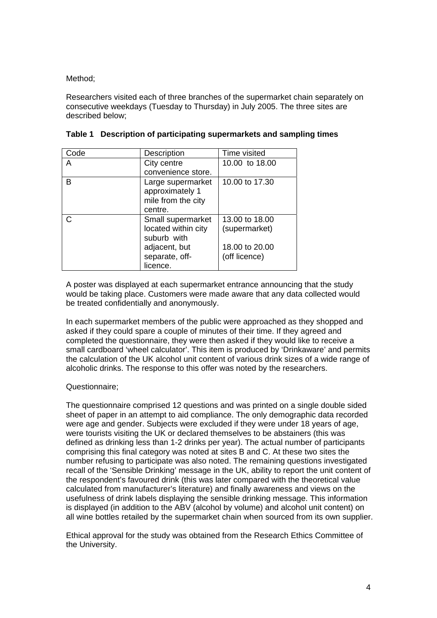Method;

Researchers visited each of three branches of the supermarket chain separately on consecutive weekdays (Tuesday to Thursday) in July 2005. The three sites are described below;

| Code | Description         | Time visited   |
|------|---------------------|----------------|
| A    | City centre         | 10.00 to 18.00 |
|      | convenience store.  |                |
| B    | Large supermarket   | 10.00 to 17.30 |
|      | approximately 1     |                |
|      | mile from the city  |                |
|      | centre.             |                |
| C    | Small supermarket   | 13.00 to 18.00 |
|      | located within city | (supermarket)  |
|      | suburb with         |                |
|      | adjacent, but       | 18.00 to 20.00 |
|      | separate, off-      | (off licence)  |
|      | licence.            |                |

|  |  | Table 1 Description of participating supermarkets and sampling times |
|--|--|----------------------------------------------------------------------|
|  |  |                                                                      |

A poster was displayed at each supermarket entrance announcing that the study would be taking place. Customers were made aware that any data collected would be treated confidentially and anonymously.

In each supermarket members of the public were approached as they shopped and asked if they could spare a couple of minutes of their time. If they agreed and completed the questionnaire, they were then asked if they would like to receive a small cardboard 'wheel calculator'. This item is produced by 'Drinkaware' and permits the calculation of the UK alcohol unit content of various drink sizes of a wide range of alcoholic drinks. The response to this offer was noted by the researchers.

#### Questionnaire;

The questionnaire comprised 12 questions and was printed on a single double sided sheet of paper in an attempt to aid compliance. The only demographic data recorded were age and gender. Subjects were excluded if they were under 18 years of age, were tourists visiting the UK or declared themselves to be abstainers (this was defined as drinking less than 1-2 drinks per year). The actual number of participants comprising this final category was noted at sites B and C. At these two sites the number refusing to participate was also noted. The remaining questions investigated recall of the 'Sensible Drinking' message in the UK, ability to report the unit content of the respondent's favoured drink (this was later compared with the theoretical value calculated from manufacturer's literature) and finally awareness and views on the usefulness of drink labels displaying the sensible drinking message. This information is displayed (in addition to the ABV (alcohol by volume) and alcohol unit content) on all wine bottles retailed by the supermarket chain when sourced from its own supplier.

Ethical approval for the study was obtained from the Research Ethics Committee of the University.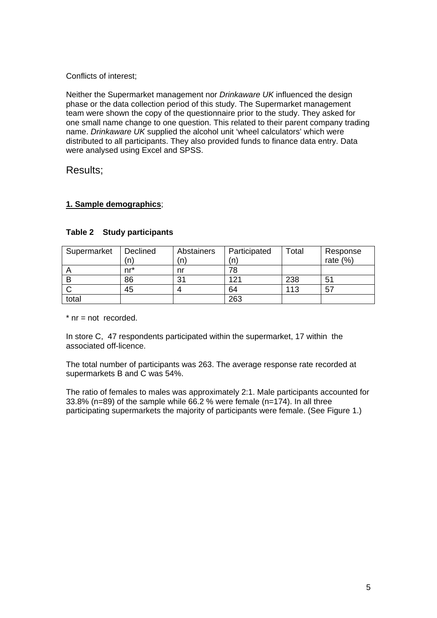### Conflicts of interest;

Neither the Supermarket management nor *Drinkaware UK* influenced the design phase or the data collection period of this study. The Supermarket management team were shown the copy of the questionnaire prior to the study. They asked for one small name change to one question. This related to their parent company trading name. *Drinkaware UK* supplied the alcohol unit 'wheel calculators' which were distributed to all participants. They also provided funds to finance data entry. Data were analysed using Excel and SPSS.

## Results;

## **1. Sample demographics**;

| Supermarket | Declined<br>n. | Abstainers<br>(n | Participated<br>(n` | Total | Response<br>rate $(%)$ |
|-------------|----------------|------------------|---------------------|-------|------------------------|
|             | nr*            | nr               |                     |       |                        |
|             | 86             | 31               | 121                 | 238   | 51                     |
|             | 45             |                  | 64                  | 113   | 57                     |
| total       |                |                  | 263                 |       |                        |

#### **Table 2 Study participants**

 $*$  nr = not recorded.

In store C, 47 respondents participated within the supermarket, 17 within the associated off-licence.

The total number of participants was 263. The average response rate recorded at supermarkets B and C was 54%.

The ratio of females to males was approximately 2:1. Male participants accounted for 33.8% (n=89) of the sample while 66.2 % were female (n=174). In all three participating supermarkets the majority of participants were female. (See Figure 1.)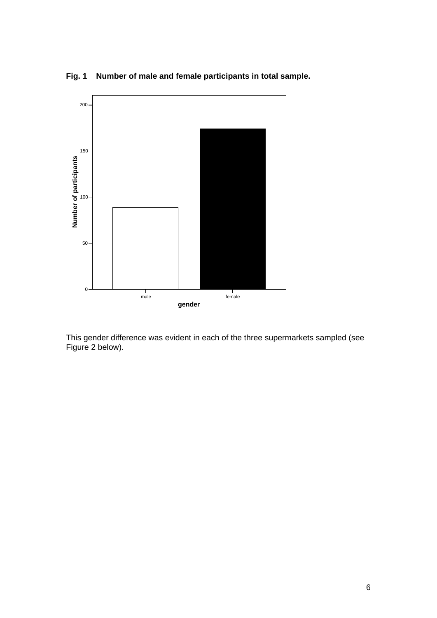



This gender difference was evident in each of the three supermarkets sampled (see Figure 2 below).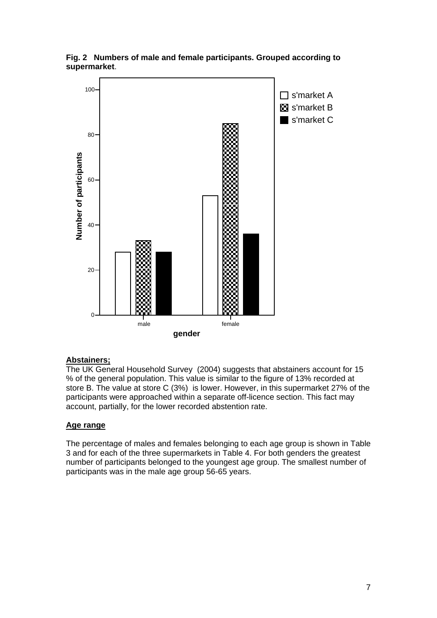

**Fig. 2 Numbers of male and female participants. Grouped according to supermarket**.

#### **Abstainers;**

The UK General Household Survey (2004) suggests that abstainers account for 15 % of the general population. This value is similar to the figure of 13% recorded at store B. The value at store C (3%) is lower. However, in this supermarket 27% of the participants were approached within a separate off-licence section. This fact may account, partially, for the lower recorded abstention rate.

#### **Age range**

The percentage of males and females belonging to each age group is shown in Table 3 and for each of the three supermarkets in Table 4. For both genders the greatest number of participants belonged to the youngest age group. The smallest number of participants was in the male age group 56-65 years.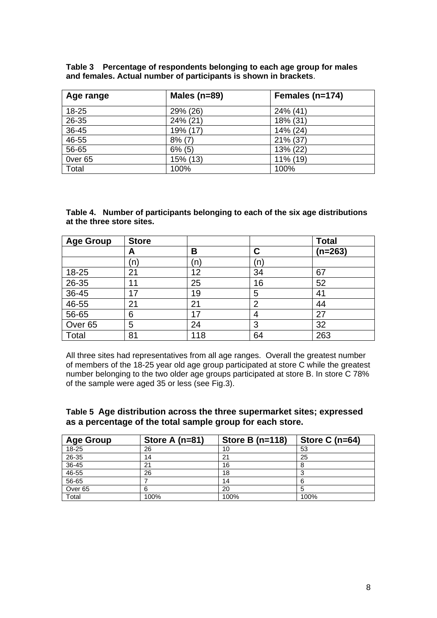| Age range          | Males ( $n=89$ ) | Females (n=174) |
|--------------------|------------------|-----------------|
| 18-25              | 29% (26)         | 24% (41)        |
| 26-35              | 24% (21)         | 18% (31)        |
| 36-45              | 19% (17)         | 14% (24)        |
| 46-55              | $8\%$ (7)        | 21% (37)        |
| 56-65              | $6\%$ (5)        | 13% (22)        |
| Over <sub>65</sub> | 15% (13)         | 11% (19)        |
| Total              | 100%             | 100%            |

| Table 3 Percentage of respondents belonging to each age group for males |
|-------------------------------------------------------------------------|
| and females. Actual number of participants is shown in brackets.        |

**Table 4. Number of participants belonging to each of the six age distributions at the three store sites.** 

| <b>Age Group</b>   | <b>Store</b> |     |                | <b>Total</b> |
|--------------------|--------------|-----|----------------|--------------|
|                    | A            | В   | С              | $(n=263)$    |
|                    | (n           | n)  | (n)            |              |
| 18-25              | 21           | 12  | 34             | 67           |
| $26 - 35$          | 11           | 25  | 16             | 52           |
| $36 - 45$          | 17           | 19  | 5              | 41           |
| 46-55              | 21           | 21  | $\overline{2}$ | 44           |
| 56-65              | 6            | 17  | 4              | 27           |
| Over <sub>65</sub> | 5            | 24  | 3              | 32           |
| Total              | 81           | 118 | 64             | 263          |

All three sites had representatives from all age ranges. Overall the greatest number of members of the 18-25 year old age group participated at store C while the greatest number belonging to the two older age groups participated at store B. In store C 78% of the sample were aged 35 or less (see Fig.3).

#### **Table 5 Age distribution across the three supermarket sites; expressed as a percentage of the total sample group for each store.**

| <b>Age Group</b>   | Store A $(n=81)$ | Store B $(n=118)$ | Store C $(n=64)$ |
|--------------------|------------------|-------------------|------------------|
| 18-25              | 26               | 10                | 53               |
| 26-35              | 14               | 21                | 25               |
| 36-45              | 21               | 16                |                  |
| $46 - 55$          | 26               | 18                |                  |
| 56-65              |                  | 14                |                  |
| Over <sub>65</sub> | 6                | 20                |                  |
| Total              | 100%             | 100%              | 100%             |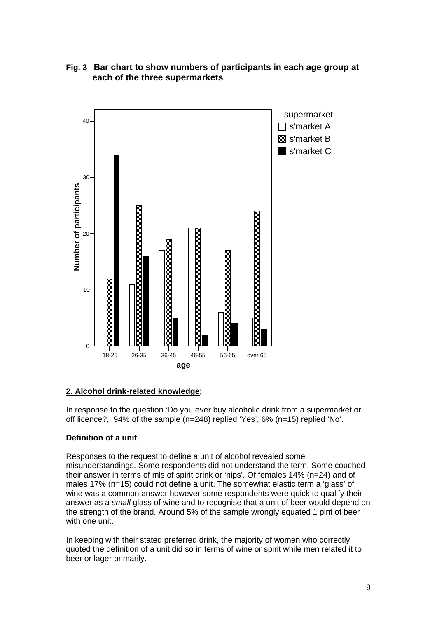

## **Fig. 3 Bar chart to show numbers of participants in each age group at each of the three supermarkets**

## **2. Alcohol drink-related knowledge**;

In response to the question 'Do you ever buy alcoholic drink from a supermarket or off licence?, 94% of the sample (n=248) replied 'Yes', 6% (n=15) replied 'No'.

## **Definition of a unit**

Responses to the request to define a unit of alcohol revealed some misunderstandings. Some respondents did not understand the term. Some couched their answer in terms of mls of spirit drink or 'nips'. Of females 14% (n=24) and of males 17% (n=15) could not define a unit. The somewhat elastic term a 'glass' of wine was a common answer however some respondents were quick to qualify their answer as a *small* glass of wine and to recognise that a unit of beer would depend on the strength of the brand. Around 5% of the sample wrongly equated 1 pint of beer with one unit.

In keeping with their stated preferred drink, the majority of women who correctly quoted the definition of a unit did so in terms of wine or spirit while men related it to beer or lager primarily.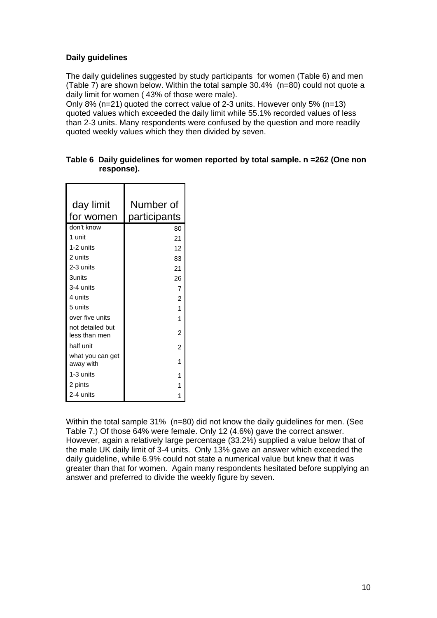## **Daily guidelines**

The daily guidelines suggested by study participants for women (Table 6) and men (Table 7) are shown below. Within the total sample 30.4% (n=80) could not quote a daily limit for women ( 43% of those were male).

Only 8% (n=21) quoted the correct value of 2-3 units. However only 5% (n=13) quoted values which exceeded the daily limit while 55.1% recorded values of less than 2-3 units. Many respondents were confused by the question and more readily quoted weekly values which they then divided by seven.

| day limit                         | Number of      |
|-----------------------------------|----------------|
| for women                         | participants   |
| don't know                        | 80             |
| 1 unit                            | 21             |
| 1-2 units                         | 12             |
| 2 units                           | 83             |
| 2-3 units                         | 21             |
| <b>3units</b>                     | 26             |
| 3-4 units                         | 7              |
| 4 units                           | $\overline{c}$ |
| 5 units                           | 1              |
| over five units                   | 1              |
| not detailed but<br>less than men | $\overline{2}$ |
| half unit                         | $\overline{2}$ |
| what you can get<br>away with     | 1              |
| 1-3 units                         | 1              |
| 2 pints                           | 1              |
| 2-4 units                         |                |

| Table 6 Daily guidelines for women reported by total sample. n =262 (One non |
|------------------------------------------------------------------------------|
| response).                                                                   |

Within the total sample 31% (n=80) did not know the daily quidelines for men. (See Table 7.) Of those 64% were female. Only 12 (4.6%) gave the correct answer. However, again a relatively large percentage (33.2%) supplied a value below that of the male UK daily limit of 3-4 units. Only 13% gave an answer which exceeded the daily guideline, while 6.9% could not state a numerical value but knew that it was greater than that for women. Again many respondents hesitated before supplying an answer and preferred to divide the weekly figure by seven.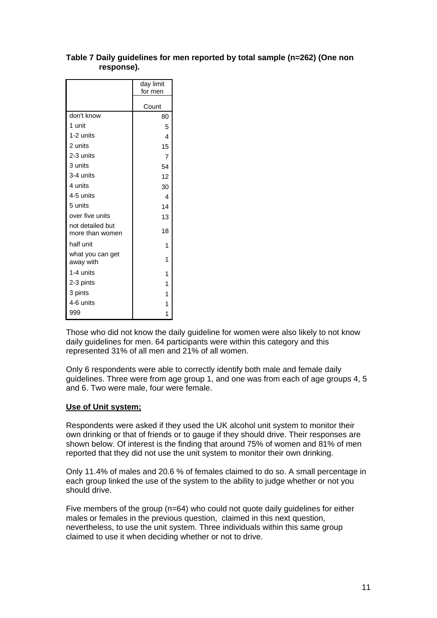|                                     | day limit<br>for men |
|-------------------------------------|----------------------|
|                                     | Count                |
| don't know                          | 80                   |
| 1 unit                              | 5                    |
| 1-2 units                           | 4                    |
| 2 units                             | 15                   |
| 2-3 units                           | $\overline{7}$       |
| 3 units                             | 54                   |
| 3-4 units                           | 12                   |
| 4 units                             | 30                   |
| 4-5 units                           | 4                    |
| 5 units                             | 14                   |
| over five units                     | 13                   |
| not detailed but<br>more than women | 18                   |
| half unit                           | 1                    |
| what you can get<br>away with       | 1                    |
| 1-4 units                           | 1                    |
| 2-3 pints                           | 1                    |
| 3 pints                             | 1                    |
| 4-6 units                           | 1                    |
| 999                                 | 1                    |

#### **Table 7 Daily guidelines for men reported by total sample (n=262) (One non response).**

Those who did not know the daily guideline for women were also likely to not know daily guidelines for men. 64 participants were within this category and this represented 31% of all men and 21% of all women.

Only 6 respondents were able to correctly identify both male and female daily guidelines. Three were from age group 1, and one was from each of age groups 4, 5 and 6. Two were male, four were female.

#### **Use of Unit system;**

Respondents were asked if they used the UK alcohol unit system to monitor their own drinking or that of friends or to gauge if they should drive. Their responses are shown below. Of interest is the finding that around 75% of women and 81% of men reported that they did not use the unit system to monitor their own drinking.

Only 11.4% of males and 20.6 % of females claimed to do so. A small percentage in each group linked the use of the system to the ability to judge whether or not you should drive.

Five members of the group (n=64) who could not quote daily guidelines for either males or females in the previous question, claimed in this next question, nevertheless, to use the unit system. Three individuals within this same group claimed to use it when deciding whether or not to drive.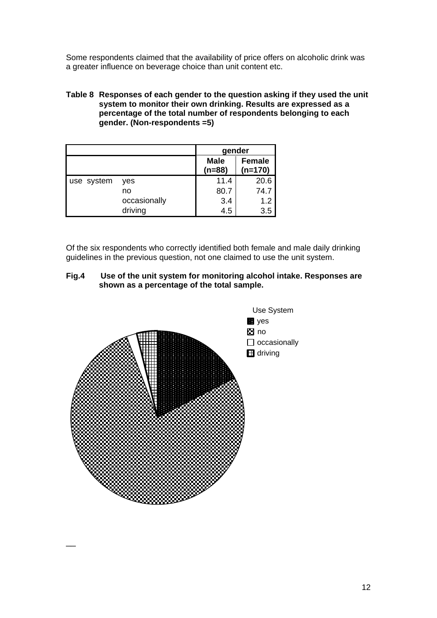Some respondents claimed that the availability of price offers on alcoholic drink was a greater influence on beverage choice than unit content etc.

#### **Table 8 Responses of each gender to the question asking if they used the unit system to monitor their own drinking. Results are expressed as a percentage of the total number of respondents belonging to each gender. (Non-respondents =5)**

|            |              | gender                  |                            |  |
|------------|--------------|-------------------------|----------------------------|--|
|            |              | <b>Male</b><br>$(n=88)$ | <b>Female</b><br>$(n=170)$ |  |
| use system | yes          | 11.4                    | 20.6                       |  |
|            | no           | 80.7                    | 74.7                       |  |
|            | occasionally | 3.4                     | 1.2                        |  |
|            | driving      | 4.5                     | 3.5                        |  |

Of the six respondents who correctly identified both female and male daily drinking guidelines in the previous question, not one claimed to use the unit system.

#### **Fig.4 Use of the unit system for monitoring alcohol intake. Responses are shown as a percentage of the total sample.**



 $\overline{\phantom{a}}$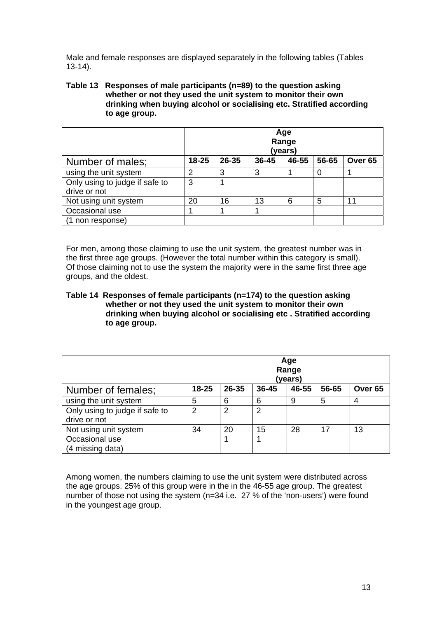Male and female responses are displayed separately in the following tables (Tables 13-14).

#### **Table 13 Responses of male participants (n=89) to the question asking whether or not they used the unit system to monitor their own drinking when buying alcohol or socialising etc. Stratified according to age group.**

|                                                | Age<br>Range<br>(years) |       |       |       |       |                    |
|------------------------------------------------|-------------------------|-------|-------|-------|-------|--------------------|
| Number of males;                               | $18 - 25$               | 26-35 | 36-45 | 46-55 | 56-65 | Over <sub>65</sub> |
| using the unit system                          | $\overline{2}$          | 3     | 3     |       |       |                    |
| Only using to judge if safe to<br>drive or not | 3                       |       |       |       |       |                    |
| Not using unit system                          | 20                      | 16    | 13    | 6     | 5     | 11                 |
| Occasional use                                 |                         |       |       |       |       |                    |
| (1 non response)                               |                         |       |       |       |       |                    |

For men, among those claiming to use the unit system, the greatest number was in the first three age groups. (However the total number within this category is small). Of those claiming not to use the system the majority were in the same first three age groups, and the oldest.

#### **Table 14 Responses of female participants (n=174) to the question asking whether or not they used the unit system to monitor their own drinking when buying alcohol or socialising etc . Stratified according to age group.**

|                                                | Age<br>Range<br>(years) |       |           |       |       |                    |
|------------------------------------------------|-------------------------|-------|-----------|-------|-------|--------------------|
| Number of females;                             | $18 - 25$               | 26-35 | $36 - 45$ | 46-55 | 56-65 | Over <sub>65</sub> |
| using the unit system                          | 5                       | 6     | 6         | 9     | 5     | 4                  |
| Only using to judge if safe to<br>drive or not | 2                       | 2     | 2         |       |       |                    |
| Not using unit system                          | 34                      | 20    | 15        | 28    | 17    | 13                 |
| Occasional use                                 |                         |       |           |       |       |                    |
| (4 missing data)                               |                         |       |           |       |       |                    |

Among women, the numbers claiming to use the unit system were distributed across the age groups. 25% of this group were in the in the 46-55 age group. The greatest number of those not using the system (n=34 i.e. 27 % of the 'non-users') were found in the youngest age group.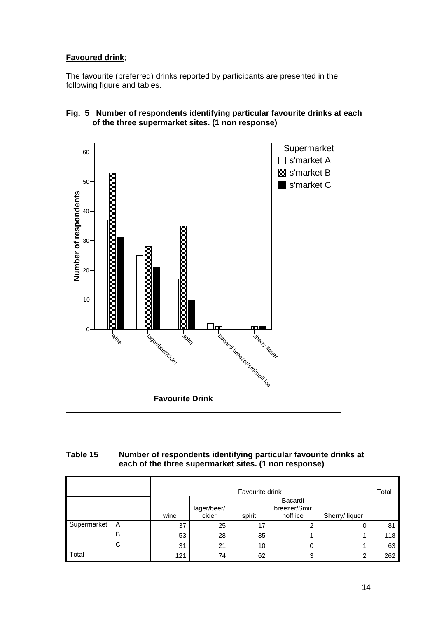## **Favoured drink**;

The favourite (preferred) drinks reported by participants are presented in the following figure and tables.



### **Fig. 5 Number of respondents identifying particular favourite drinks at each of the three supermarket sites. (1 non response)**

## **Table 15 Number of respondents identifying particular favourite drinks at each of the three supermarket sites. (1 non response)**

|             |   | Favourite drink                                                                                 |    |    |   |   |     |
|-------------|---|-------------------------------------------------------------------------------------------------|----|----|---|---|-----|
|             |   | Bacardi<br>breezer/Smir<br>lager/beer/<br>wine<br>cider<br>noff ice<br>spirit<br>Sherry/ liquer |    |    |   |   |     |
| Supermarket | A | 37                                                                                              | 25 | 17 | 2 | 0 | 81  |
|             | В | 53                                                                                              | 28 | 35 |   |   | 118 |
|             | С | 31                                                                                              | 21 | 10 | 0 |   | 63  |
| Total       |   | 121                                                                                             | 74 | 62 | 3 | ⌒ | 262 |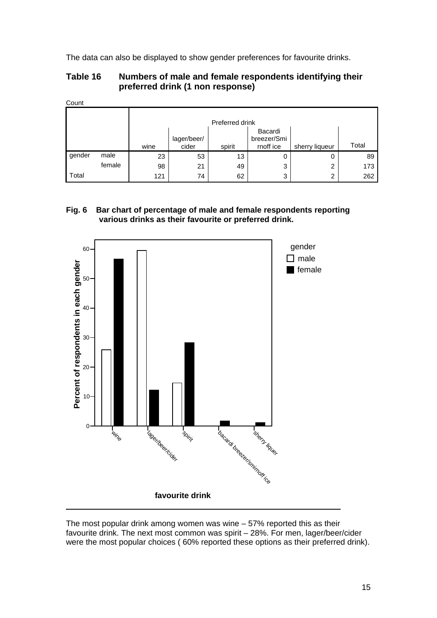The data can also be displayed to show gender preferences for favourite drinks.

## **Table 16 Numbers of male and female respondents identifying their preferred drink (1 non response)**

|        |        | Preferred drink |                      |        |                                     |                |       |
|--------|--------|-----------------|----------------------|--------|-------------------------------------|----------------|-------|
|        |        | wine            | lager/beer/<br>cider | spirit | Bacardi<br>breezer/Smi<br>rnoff ice | sherry liqueur | Total |
| gender | male   | 23              | 53                   | 13     | 0                                   | 0              | 89    |
|        | female | 98              | 21                   | 49     | 3                                   | 2              | 173   |
| Total  |        | 121             | 74                   | 62     | 3                                   | 2              | 262   |

## **Fig. 6 Bar chart of percentage of male and female respondents reporting various drinks as their favourite or preferred drink.**



The most popular drink among women was wine – 57% reported this as their favourite drink. The next most common was spirit – 28%. For men, lager/beer/cider were the most popular choices ( 60% reported these options as their preferred drink).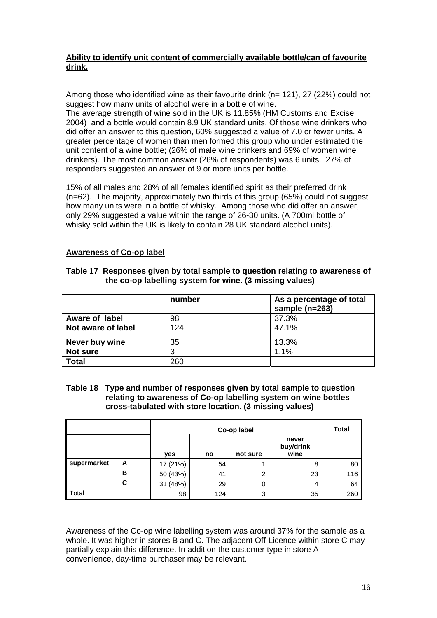### **Ability to identify unit content of commercially available bottle/can of favourite drink.**

Among those who identified wine as their favourite drink (n= 121), 27 (22%) could not suggest how many units of alcohol were in a bottle of wine.

The average strength of wine sold in the UK is 11.85% (HM Customs and Excise, 2004) and a bottle would contain 8.9 UK standard units. Of those wine drinkers who did offer an answer to this question, 60% suggested a value of 7.0 or fewer units. A greater percentage of women than men formed this group who under estimated the unit content of a wine bottle; (26% of male wine drinkers and 69% of women wine drinkers). The most common answer (26% of respondents) was 6 units. 27% of responders suggested an answer of 9 or more units per bottle.

15% of all males and 28% of all females identified spirit as their preferred drink (n=62). The majority, approximately two thirds of this group (65%) could not suggest how many units were in a bottle of whisky. Among those who did offer an answer, only 29% suggested a value within the range of 26-30 units. (A 700ml bottle of whisky sold within the UK is likely to contain 28 UK standard alcohol units).

#### **Awareness of Co-op label**

#### **Table 17 Responses given by total sample to question relating to awareness of the co-op labelling system for wine. (3 missing values)**

|                    | number | As a percentage of total<br>sample $(n=263)$ |
|--------------------|--------|----------------------------------------------|
| Aware of label     | 98     | 37.3%                                        |
| Not aware of label | 124    | 47.1%                                        |
| Never buy wine     | 35     | 13.3%                                        |
| Not sure           | 3      | 1.1%                                         |
| <b>Total</b>       | 260    |                                              |

#### **Table 18 Type and number of responses given by total sample to question relating to awareness of Co-op labelling system on wine bottles cross-tabulated with store location. (3 missing values)**

|             |   |          | Co-op label |          |                            |     |
|-------------|---|----------|-------------|----------|----------------------------|-----|
|             |   | yes      | no          | not sure | never<br>buy/drink<br>wine |     |
| supermarket | A | 17 (21%) | 54          |          | 8                          | 80  |
|             | в | 50 (43%) | 41          | 2        | 23                         | 116 |
|             | C | 31 (48%) | 29          | 0        | 4                          | 64  |
| Total       |   | 98       | 124         | 3        | 35                         | 260 |

Awareness of the Co-op wine labelling system was around 37% for the sample as a whole. It was higher in stores B and C. The adjacent Off-Licence within store C may partially explain this difference. In addition the customer type in store A – convenience, day-time purchaser may be relevant.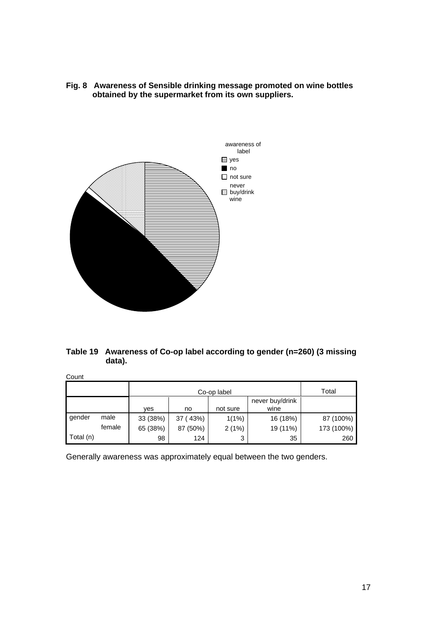**Fig. 8 Awareness of Sensible drinking message promoted on wine bottles obtained by the supermarket from its own suppliers.** 



## **Table 19 Awareness of Co-op label according to gender (n=260) (3 missing data).**

Count

|           |        |                                                         | Total    |       |          |            |
|-----------|--------|---------------------------------------------------------|----------|-------|----------|------------|
|           |        | never buy/drink<br>not sure<br>wine<br><b>ves</b><br>no |          |       |          |            |
| gender    | male   | 33 (38%)                                                | 37 (43%) | 1(1%) | 16 (18%) | 87 (100%)  |
|           | female | 65 (38%)                                                | 87 (50%) | 2(1%) | 19 (11%) | 173 (100%) |
| Total (n) |        | 98                                                      | 124      | 3     | 35       | 260        |

Generally awareness was approximately equal between the two genders.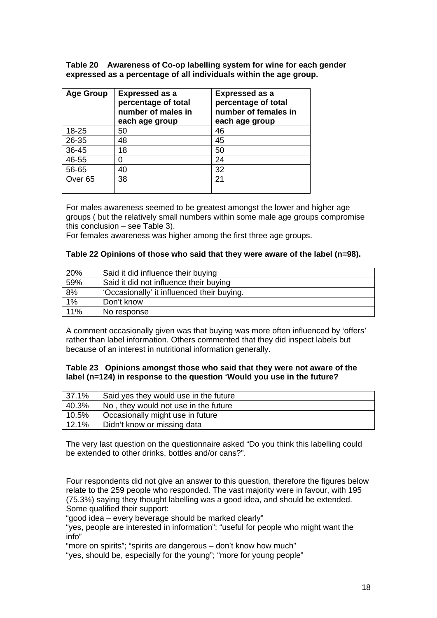**Table 20 Awareness of Co-op labelling system for wine for each gender expressed as a percentage of all individuals within the age group.** 

| <b>Age Group</b>   | <b>Expressed as a</b><br>percentage of total<br>number of males in<br>each age group | <b>Expressed as a</b><br>percentage of total<br>number of females in<br>each age group |
|--------------------|--------------------------------------------------------------------------------------|----------------------------------------------------------------------------------------|
| 18-25              | 50                                                                                   | 46                                                                                     |
| 26-35              | 48                                                                                   | 45                                                                                     |
| 36-45              | 18                                                                                   | 50                                                                                     |
| 46-55              |                                                                                      | 24                                                                                     |
| 56-65              | 40                                                                                   | 32                                                                                     |
| Over <sub>65</sub> | 38                                                                                   | 21                                                                                     |
|                    |                                                                                      |                                                                                        |

For males awareness seemed to be greatest amongst the lower and higher age groups ( but the relatively small numbers within some male age groups compromise this conclusion – see Table 3).

For females awareness was higher among the first three age groups.

#### **Table 22 Opinions of those who said that they were aware of the label (n=98).**

| 20%              | Said it did influence their buying         |
|------------------|--------------------------------------------|
| 59%              | Said it did not influence their buying     |
| 8%               | 'Occasionally' it influenced their buying. |
| $\overline{1\%}$ | Don't know                                 |
| 11%              | No response                                |

A comment occasionally given was that buying was more often influenced by 'offers' rather than label information. Others commented that they did inspect labels but because of an interest in nutritional information generally.

#### **Table 23 Opinions amongst those who said that they were not aware of the label (n=124) in response to the question 'Would you use in the future?**

| 37.1% | Said yes they would use in the future |
|-------|---------------------------------------|
| 40.3% | No, they would not use in the future  |
| 10.5% | Occasionally might use in future      |
| 12.1% | Didn't know or missing data           |

The very last question on the questionnaire asked "Do you think this labelling could be extended to other drinks, bottles and/or cans?".

Four respondents did not give an answer to this question, therefore the figures below relate to the 259 people who responded. The vast majority were in favour, with 195 (75.3%) saying they thought labelling was a good idea, and should be extended. Some qualified their support:

"good idea – every beverage should be marked clearly"

"yes, people are interested in information"; "useful for people who might want the info"

"more on spirits"; "spirits are dangerous – don't know how much"

"yes, should be, especially for the young"; "more for young people"